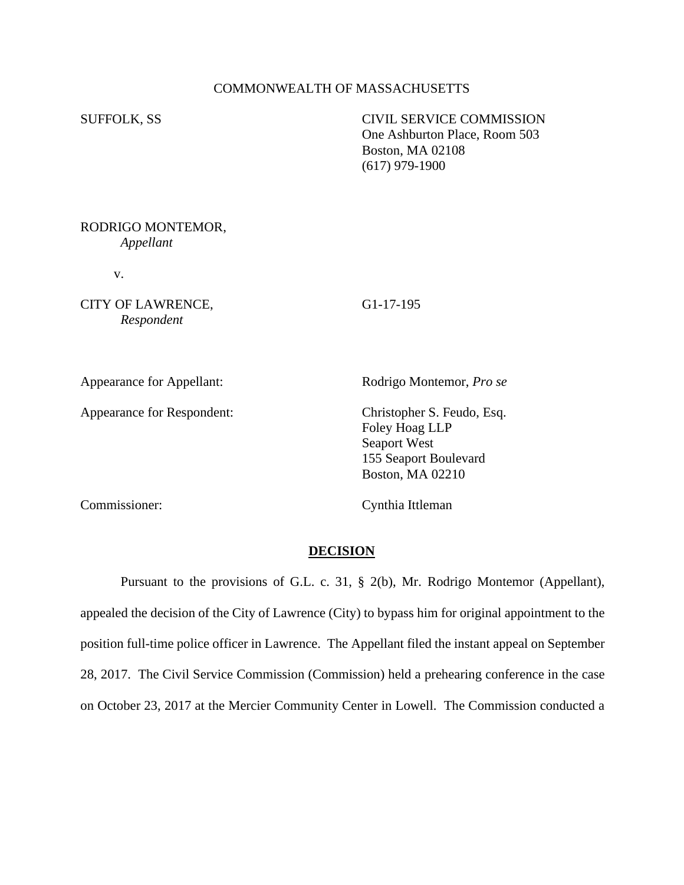## COMMONWEALTH OF MASSACHUSETTS

SUFFOLK, SS CIVIL SERVICE COMMISSION One Ashburton Place, Room 503 Boston, MA 02108 (617) 979-1900

### RODRIGO MONTEMOR, *Appellant*

v.

CITY OF LAWRENCE, G1-17-195 *Respondent*

Appearance for Respondent: Christopher S. Feudo, Esq.

Appearance for Appellant: Rodrigo Montemor, *Pro se* 

Foley Hoag LLP Seaport West 155 Seaport Boulevard Boston, MA 02210

Commissioner: Cynthia Ittleman

### **DECISION**

Pursuant to the provisions of G.L. c. 31, § 2(b), Mr. Rodrigo Montemor (Appellant), appealed the decision of the City of Lawrence (City) to bypass him for original appointment to the position full-time police officer in Lawrence. The Appellant filed the instant appeal on September 28, 2017. The Civil Service Commission (Commission) held a prehearing conference in the case on October 23, 2017 at the Mercier Community Center in Lowell. The Commission conducted a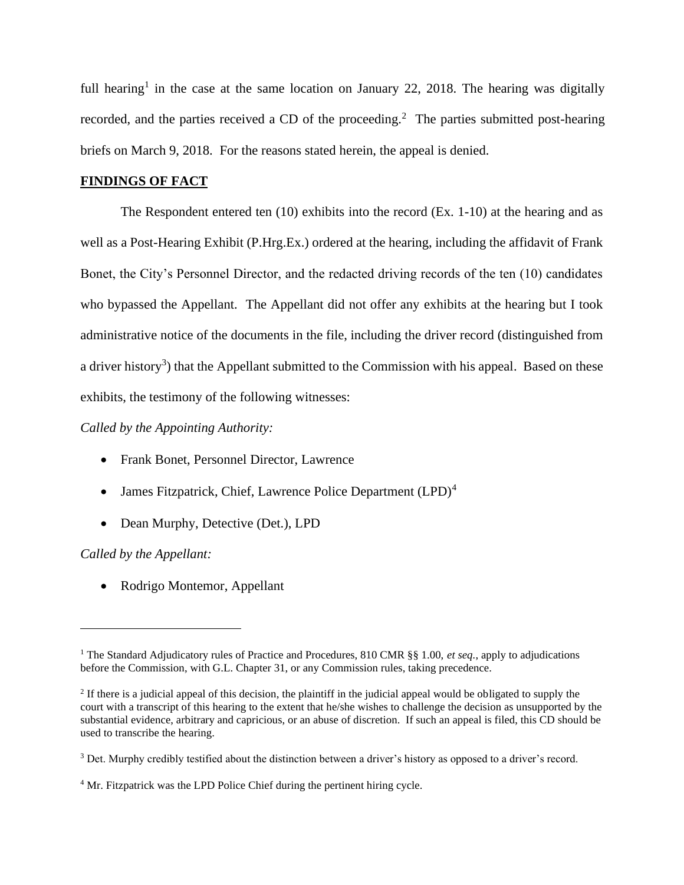full hearing<sup>1</sup> in the case at the same location on January 22, 2018. The hearing was digitally recorded, and the parties received a CD of the proceeding.<sup>2</sup> The parties submitted post-hearing briefs on March 9, 2018. For the reasons stated herein, the appeal is denied.

## **FINDINGS OF FACT**

The Respondent entered ten (10) exhibits into the record (Ex. 1-10) at the hearing and as well as a Post-Hearing Exhibit (P.Hrg.Ex.) ordered at the hearing, including the affidavit of Frank Bonet, the City's Personnel Director, and the redacted driving records of the ten (10) candidates who bypassed the Appellant. The Appellant did not offer any exhibits at the hearing but I took administrative notice of the documents in the file, including the driver record (distinguished from a driver history<sup>3</sup>) that the Appellant submitted to the Commission with his appeal. Based on these exhibits, the testimony of the following witnesses:

*Called by the Appointing Authority:*

- Frank Bonet, Personnel Director, Lawrence
- James Fitzpatrick, Chief, Lawrence Police Department  $(LPD)^4$
- Dean Murphy, Detective (Det.), LPD

# *Called by the Appellant:*

• Rodrigo Montemor, Appellant

<sup>1</sup> The Standard Adjudicatory rules of Practice and Procedures, 810 CMR §§ 1.00, *et seq.*, apply to adjudications before the Commission, with G.L. Chapter 31, or any Commission rules, taking precedence.

 $<sup>2</sup>$  If there is a judicial appeal of this decision, the plaintiff in the judicial appeal would be obligated to supply the</sup> court with a transcript of this hearing to the extent that he/she wishes to challenge the decision as unsupported by the substantial evidence, arbitrary and capricious, or an abuse of discretion. If such an appeal is filed, this CD should be used to transcribe the hearing.

<sup>&</sup>lt;sup>3</sup> Det. Murphy credibly testified about the distinction between a driver's history as opposed to a driver's record.

<sup>&</sup>lt;sup>4</sup> Mr. Fitzpatrick was the LPD Police Chief during the pertinent hiring cycle.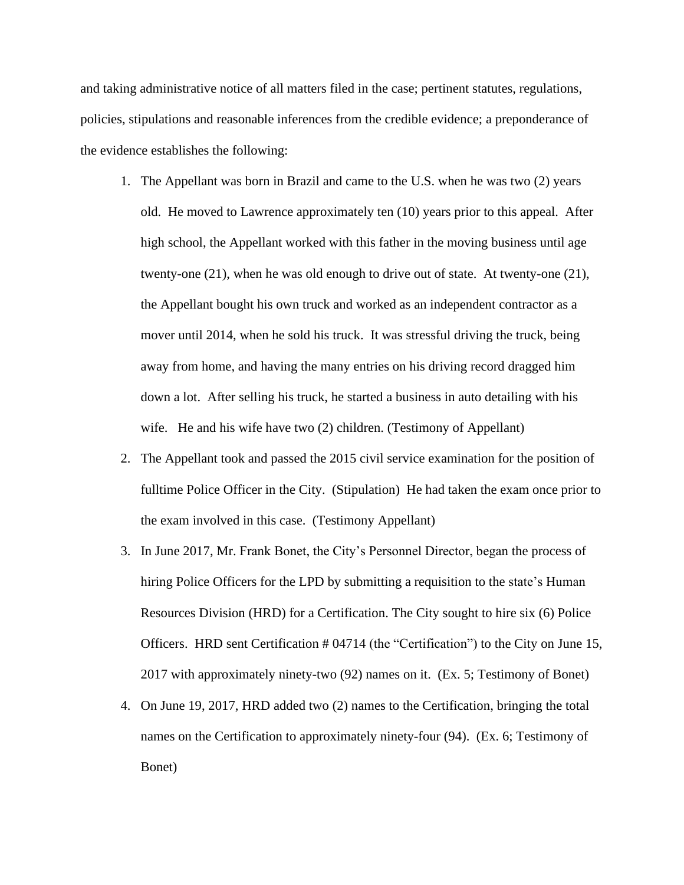and taking administrative notice of all matters filed in the case; pertinent statutes, regulations, policies, stipulations and reasonable inferences from the credible evidence; a preponderance of the evidence establishes the following:

- 1. The Appellant was born in Brazil and came to the U.S. when he was two (2) years old. He moved to Lawrence approximately ten (10) years prior to this appeal. After high school, the Appellant worked with this father in the moving business until age twenty-one (21), when he was old enough to drive out of state. At twenty-one (21), the Appellant bought his own truck and worked as an independent contractor as a mover until 2014, when he sold his truck. It was stressful driving the truck, being away from home, and having the many entries on his driving record dragged him down a lot. After selling his truck, he started a business in auto detailing with his wife. He and his wife have two (2) children. (Testimony of Appellant)
- 2. The Appellant took and passed the 2015 civil service examination for the position of fulltime Police Officer in the City. (Stipulation) He had taken the exam once prior to the exam involved in this case. (Testimony Appellant)
- 3. In June 2017, Mr. Frank Bonet, the City's Personnel Director, began the process of hiring Police Officers for the LPD by submitting a requisition to the state's Human Resources Division (HRD) for a Certification. The City sought to hire six (6) Police Officers. HRD sent Certification # 04714 (the "Certification") to the City on June 15, 2017 with approximately ninety-two (92) names on it. (Ex. 5; Testimony of Bonet)
- 4. On June 19, 2017, HRD added two (2) names to the Certification, bringing the total names on the Certification to approximately ninety-four (94). (Ex. 6; Testimony of Bonet)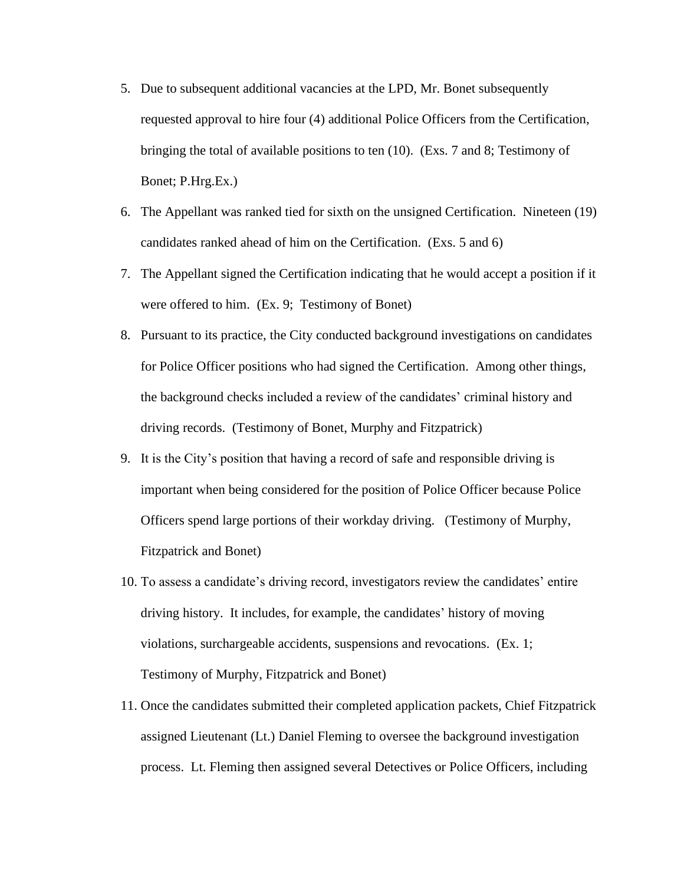- 5. Due to subsequent additional vacancies at the LPD, Mr. Bonet subsequently requested approval to hire four (4) additional Police Officers from the Certification, bringing the total of available positions to ten (10). (Exs. 7 and 8; Testimony of Bonet; P.Hrg.Ex.)
- 6. The Appellant was ranked tied for sixth on the unsigned Certification. Nineteen (19) candidates ranked ahead of him on the Certification. (Exs. 5 and 6)
- 7. The Appellant signed the Certification indicating that he would accept a position if it were offered to him. (Ex. 9; Testimony of Bonet)
- 8. Pursuant to its practice, the City conducted background investigations on candidates for Police Officer positions who had signed the Certification. Among other things, the background checks included a review of the candidates' criminal history and driving records. (Testimony of Bonet, Murphy and Fitzpatrick)
- 9. It is the City's position that having a record of safe and responsible driving is important when being considered for the position of Police Officer because Police Officers spend large portions of their workday driving. (Testimony of Murphy, Fitzpatrick and Bonet)
- 10. To assess a candidate's driving record, investigators review the candidates' entire driving history. It includes, for example, the candidates' history of moving violations, surchargeable accidents, suspensions and revocations. (Ex. 1; Testimony of Murphy, Fitzpatrick and Bonet)
- 11. Once the candidates submitted their completed application packets, Chief Fitzpatrick assigned Lieutenant (Lt.) Daniel Fleming to oversee the background investigation process. Lt. Fleming then assigned several Detectives or Police Officers, including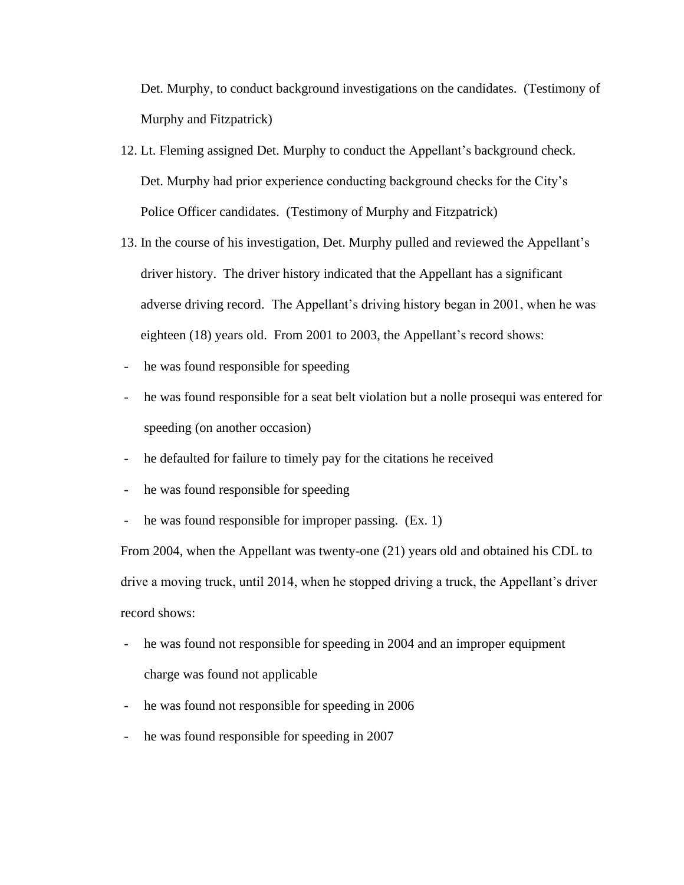Det. Murphy, to conduct background investigations on the candidates. (Testimony of Murphy and Fitzpatrick)

- 12. Lt. Fleming assigned Det. Murphy to conduct the Appellant's background check. Det. Murphy had prior experience conducting background checks for the City's Police Officer candidates. (Testimony of Murphy and Fitzpatrick)
- 13. In the course of his investigation, Det. Murphy pulled and reviewed the Appellant's driver history. The driver history indicated that the Appellant has a significant adverse driving record. The Appellant's driving history began in 2001, when he was eighteen (18) years old. From 2001 to 2003, the Appellant's record shows:
- he was found responsible for speeding
- he was found responsible for a seat belt violation but a nolle prosequi was entered for speeding (on another occasion)
- he defaulted for failure to timely pay for the citations he received
- he was found responsible for speeding
- he was found responsible for improper passing. (Ex. 1)

From 2004, when the Appellant was twenty-one (21) years old and obtained his CDL to drive a moving truck, until 2014, when he stopped driving a truck, the Appellant's driver record shows:

- he was found not responsible for speeding in 2004 and an improper equipment charge was found not applicable
- he was found not responsible for speeding in 2006
- he was found responsible for speeding in 2007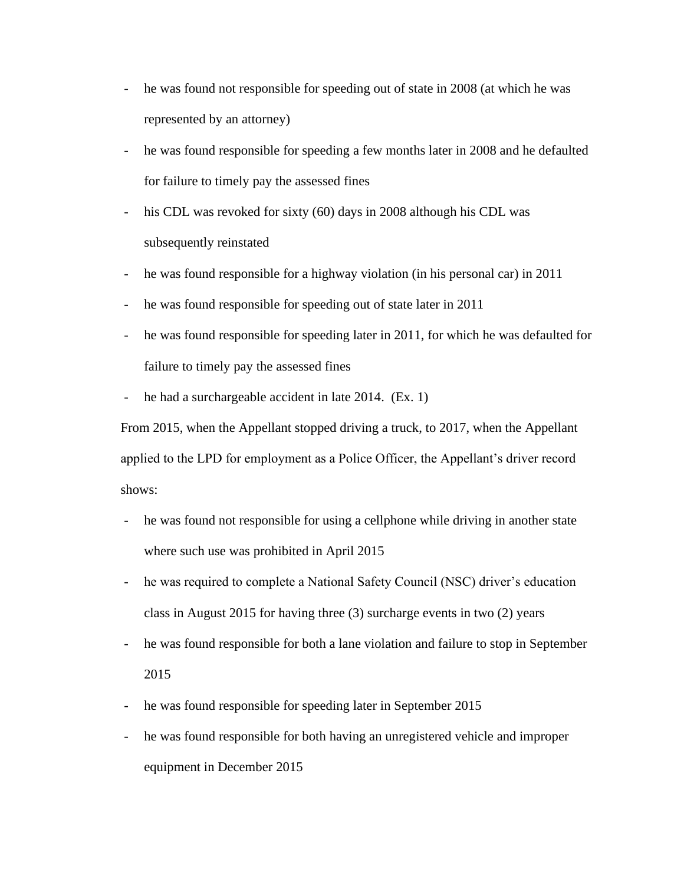- he was found not responsible for speeding out of state in 2008 (at which he was represented by an attorney)
- he was found responsible for speeding a few months later in 2008 and he defaulted for failure to timely pay the assessed fines
- his CDL was revoked for sixty (60) days in 2008 although his CDL was subsequently reinstated
- he was found responsible for a highway violation (in his personal car) in 2011
- he was found responsible for speeding out of state later in 2011
- he was found responsible for speeding later in 2011, for which he was defaulted for failure to timely pay the assessed fines
- he had a surchargeable accident in late 2014. (Ex. 1)

From 2015, when the Appellant stopped driving a truck, to 2017, when the Appellant applied to the LPD for employment as a Police Officer, the Appellant's driver record shows:

- he was found not responsible for using a cellphone while driving in another state where such use was prohibited in April 2015
- he was required to complete a National Safety Council (NSC) driver's education class in August 2015 for having three (3) surcharge events in two (2) years
- he was found responsible for both a lane violation and failure to stop in September 2015
- he was found responsible for speeding later in September 2015
- he was found responsible for both having an unregistered vehicle and improper equipment in December 2015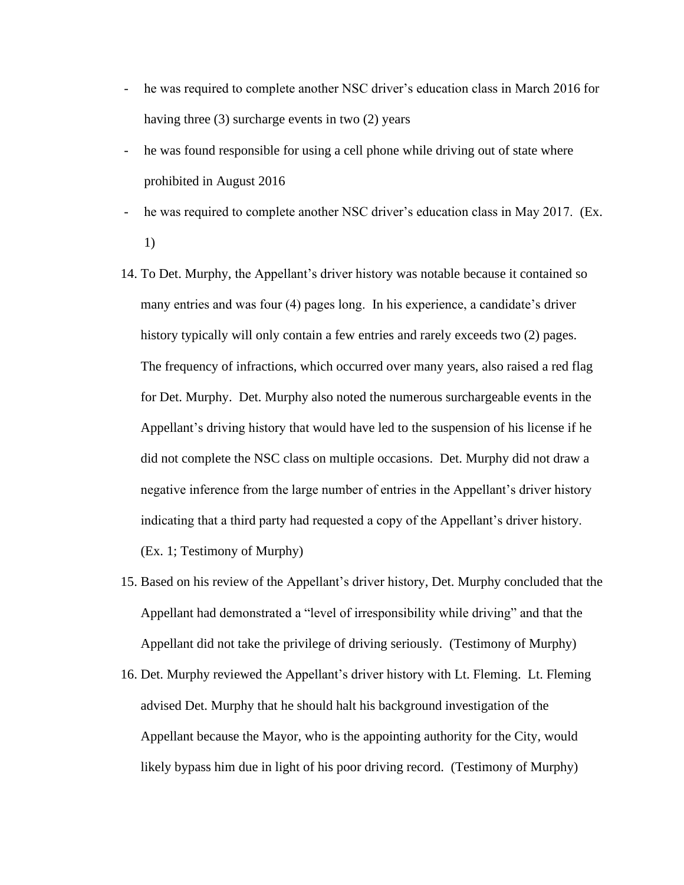- he was required to complete another NSC driver's education class in March 2016 for having three (3) surcharge events in two (2) years
- he was found responsible for using a cell phone while driving out of state where prohibited in August 2016
- he was required to complete another NSC driver's education class in May 2017. (Ex. 1)
- 14. To Det. Murphy, the Appellant's driver history was notable because it contained so many entries and was four (4) pages long. In his experience, a candidate's driver history typically will only contain a few entries and rarely exceeds two (2) pages. The frequency of infractions, which occurred over many years, also raised a red flag for Det. Murphy. Det. Murphy also noted the numerous surchargeable events in the Appellant's driving history that would have led to the suspension of his license if he did not complete the NSC class on multiple occasions. Det. Murphy did not draw a negative inference from the large number of entries in the Appellant's driver history indicating that a third party had requested a copy of the Appellant's driver history. (Ex. 1; Testimony of Murphy)
- 15. Based on his review of the Appellant's driver history, Det. Murphy concluded that the Appellant had demonstrated a "level of irresponsibility while driving" and that the Appellant did not take the privilege of driving seriously. (Testimony of Murphy)
- 16. Det. Murphy reviewed the Appellant's driver history with Lt. Fleming. Lt. Fleming advised Det. Murphy that he should halt his background investigation of the Appellant because the Mayor, who is the appointing authority for the City, would likely bypass him due in light of his poor driving record. (Testimony of Murphy)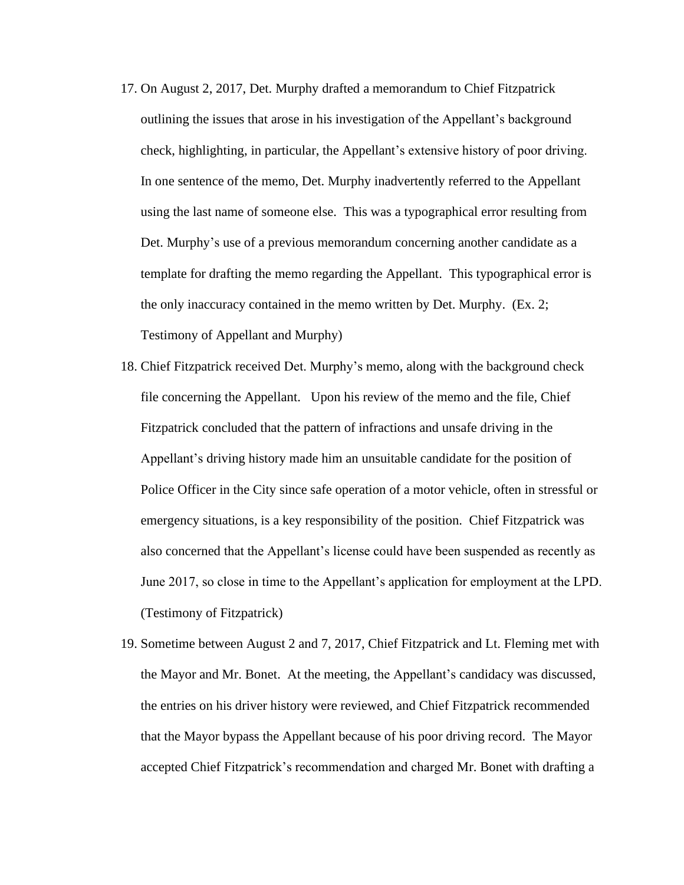- 17. On August 2, 2017, Det. Murphy drafted a memorandum to Chief Fitzpatrick outlining the issues that arose in his investigation of the Appellant's background check, highlighting, in particular, the Appellant's extensive history of poor driving. In one sentence of the memo, Det. Murphy inadvertently referred to the Appellant using the last name of someone else. This was a typographical error resulting from Det. Murphy's use of a previous memorandum concerning another candidate as a template for drafting the memo regarding the Appellant. This typographical error is the only inaccuracy contained in the memo written by Det. Murphy. (Ex. 2; Testimony of Appellant and Murphy)
- 18. Chief Fitzpatrick received Det. Murphy's memo, along with the background check file concerning the Appellant. Upon his review of the memo and the file, Chief Fitzpatrick concluded that the pattern of infractions and unsafe driving in the Appellant's driving history made him an unsuitable candidate for the position of Police Officer in the City since safe operation of a motor vehicle, often in stressful or emergency situations, is a key responsibility of the position. Chief Fitzpatrick was also concerned that the Appellant's license could have been suspended as recently as June 2017, so close in time to the Appellant's application for employment at the LPD. (Testimony of Fitzpatrick)
- 19. Sometime between August 2 and 7, 2017, Chief Fitzpatrick and Lt. Fleming met with the Mayor and Mr. Bonet. At the meeting, the Appellant's candidacy was discussed, the entries on his driver history were reviewed, and Chief Fitzpatrick recommended that the Mayor bypass the Appellant because of his poor driving record. The Mayor accepted Chief Fitzpatrick's recommendation and charged Mr. Bonet with drafting a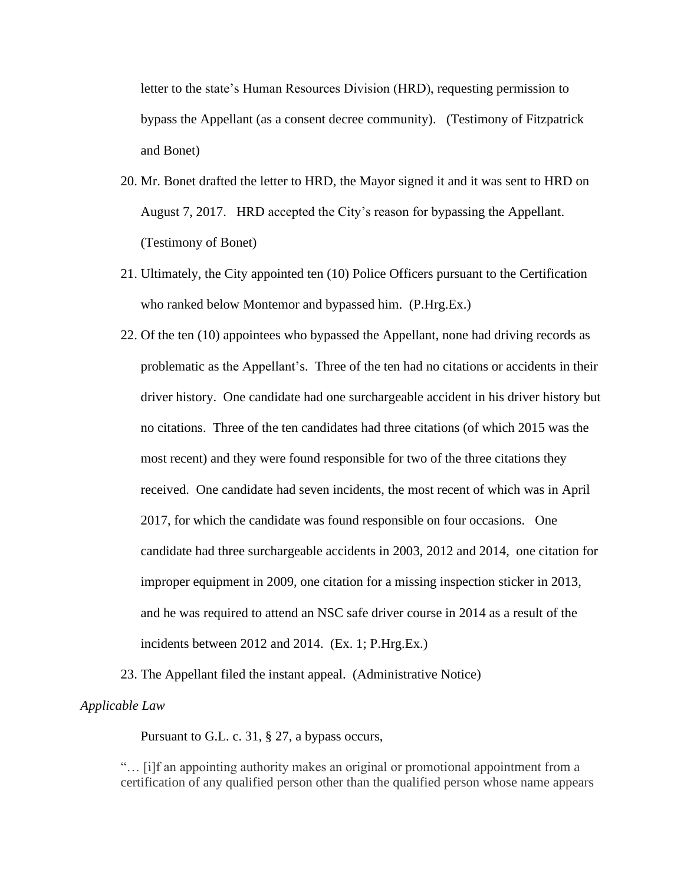letter to the state's Human Resources Division (HRD), requesting permission to bypass the Appellant (as a consent decree community). (Testimony of Fitzpatrick and Bonet)

- 20. Mr. Bonet drafted the letter to HRD, the Mayor signed it and it was sent to HRD on August 7, 2017. HRD accepted the City's reason for bypassing the Appellant. (Testimony of Bonet)
- 21. Ultimately, the City appointed ten (10) Police Officers pursuant to the Certification who ranked below Montemor and bypassed him. (P.Hrg.Ex.)
- 22. Of the ten (10) appointees who bypassed the Appellant, none had driving records as problematic as the Appellant's. Three of the ten had no citations or accidents in their driver history. One candidate had one surchargeable accident in his driver history but no citations. Three of the ten candidates had three citations (of which 2015 was the most recent) and they were found responsible for two of the three citations they received. One candidate had seven incidents, the most recent of which was in April 2017, for which the candidate was found responsible on four occasions. One candidate had three surchargeable accidents in 2003, 2012 and 2014, one citation for improper equipment in 2009, one citation for a missing inspection sticker in 2013, and he was required to attend an NSC safe driver course in 2014 as a result of the incidents between 2012 and 2014. (Ex. 1; P.Hrg.Ex.)
- 23. The Appellant filed the instant appeal. (Administrative Notice)

### *Applicable Law*

Pursuant to G.L. c. 31, § 27, a bypass occurs,

"… [i]f an appointing authority makes an original or promotional appointment from a certification of any qualified person other than the qualified person whose name appears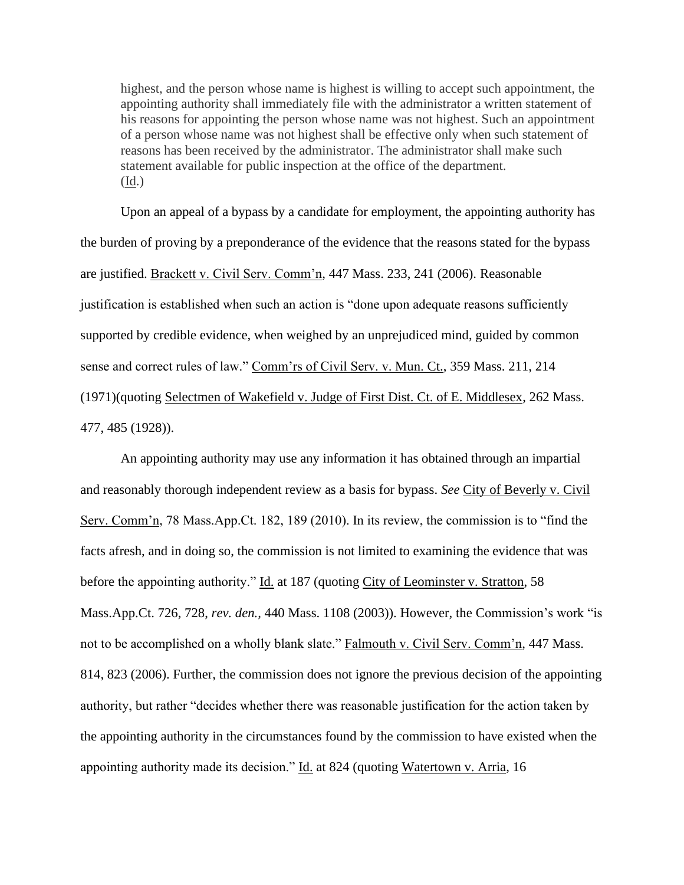highest, and the person whose name is highest is willing to accept such appointment, the appointing authority shall immediately file with the administrator a written statement of his reasons for appointing the person whose name was not highest. Such an appointment of a person whose name was not highest shall be effective only when such statement of reasons has been received by the administrator. The administrator shall make such statement available for public inspection at the office of the department. (Id.)

Upon an appeal of a bypass by a candidate for employment, the appointing authority has the burden of proving by a preponderance of the evidence that the reasons stated for the bypass are justified. Brackett v. Civil Serv. Comm'n, 447 Mass. 233, 241 (2006). Reasonable justification is established when such an action is "done upon adequate reasons sufficiently supported by credible evidence, when weighed by an unprejudiced mind, guided by common sense and correct rules of law." Comm'rs of Civil Serv. v. Mun. Ct., 359 Mass. 211, 214 (1971)(quoting Selectmen of Wakefield v. Judge of First Dist. Ct. of E. Middlesex, 262 Mass. 477, 485 (1928)).

An appointing authority may use any information it has obtained through an impartial and reasonably thorough independent review as a basis for bypass. *See* City of Beverly v. Civil Serv. Comm'n, 78 Mass.App.Ct. 182, 189 (2010). In its review, the commission is to "find the facts afresh, and in doing so, the commission is not limited to examining the evidence that was before the appointing authority." Id. at 187 (quoting City of Leominster v. Stratton, 58 Mass.App.Ct. 726, 728, *rev. den.,* 440 Mass. 1108 (2003)). However, the Commission's work "is not to be accomplished on a wholly blank slate." Falmouth v. Civil Serv. Comm'n, 447 Mass. 814, 823 (2006). Further, the commission does not ignore the previous decision of the appointing authority, but rather "decides whether there was reasonable justification for the action taken by the appointing authority in the circumstances found by the commission to have existed when the appointing authority made its decision." Id. at 824 (quoting Watertown v. Arria, 16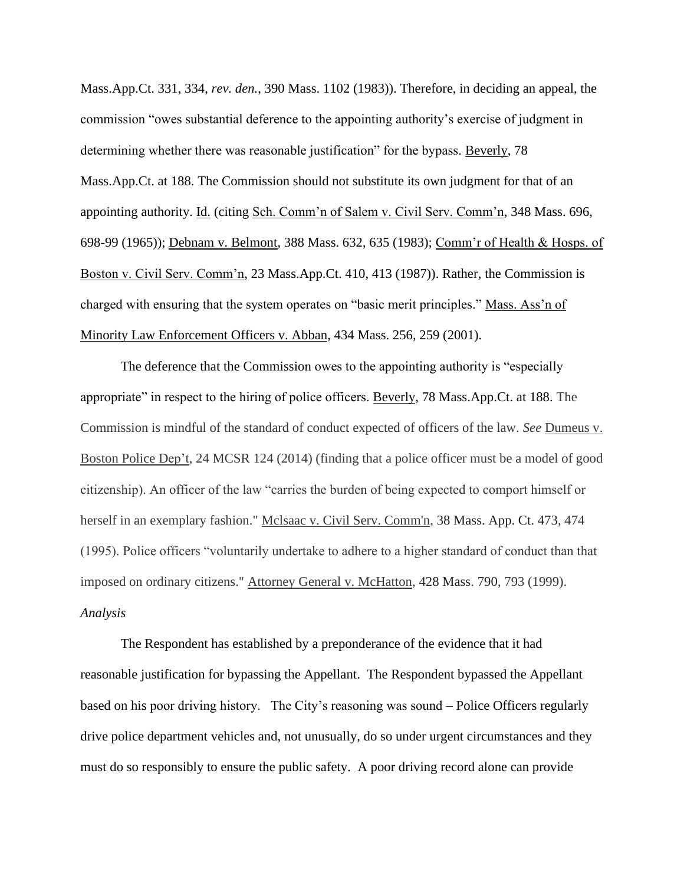Mass.App.Ct. 331, 334, *rev. den.*, 390 Mass. 1102 (1983)). Therefore, in deciding an appeal, the commission "owes substantial deference to the appointing authority's exercise of judgment in determining whether there was reasonable justification" for the bypass. Beverly, 78 Mass.App.Ct. at 188. The Commission should not substitute its own judgment for that of an appointing authority. Id. (citing Sch. Comm'n of Salem v. Civil Serv. Comm'n, 348 Mass. 696, 698-99 (1965)); Debnam v. Belmont, 388 Mass. 632, 635 (1983); Comm'r of Health & Hosps. of Boston v. Civil Serv. Comm'n, 23 Mass.App.Ct. 410, 413 (1987)). Rather, the Commission is charged with ensuring that the system operates on "basic merit principles." Mass. Ass'n of Minority Law Enforcement Officers v. Abban, 434 Mass. 256, 259 (2001).

The deference that the Commission owes to the appointing authority is "especially appropriate" in respect to the hiring of police officers. Beverly, 78 Mass.App.Ct. at 188. The Commission is mindful of the standard of conduct expected of officers of the law. *See* Dumeus v. Boston Police Dep't, 24 MCSR 124 (2014) (finding that a police officer must be a model of good citizenship). An officer of the law "carries the burden of being expected to comport himself or herself in an exemplary fashion." Mclsaac v. Civil Serv. Comm'n, [38 Mass. App. Ct. 473,](http://sll.gvpi.net/document.php?id=sjcapp:38_mass_app_ct_473) 474 (1995). Police officers "voluntarily undertake to adhere to a higher standard of conduct than that imposed on ordinary citizens." Attorney General v. McHatton, [428 Mass. 790,](http://sll.gvpi.net/document.php?id=sjcapp:428_mass_790) 793 (1999). *Analysis*

The Respondent has established by a preponderance of the evidence that it had reasonable justification for bypassing the Appellant. The Respondent bypassed the Appellant based on his poor driving history. The City's reasoning was sound – Police Officers regularly drive police department vehicles and, not unusually, do so under urgent circumstances and they must do so responsibly to ensure the public safety. A poor driving record alone can provide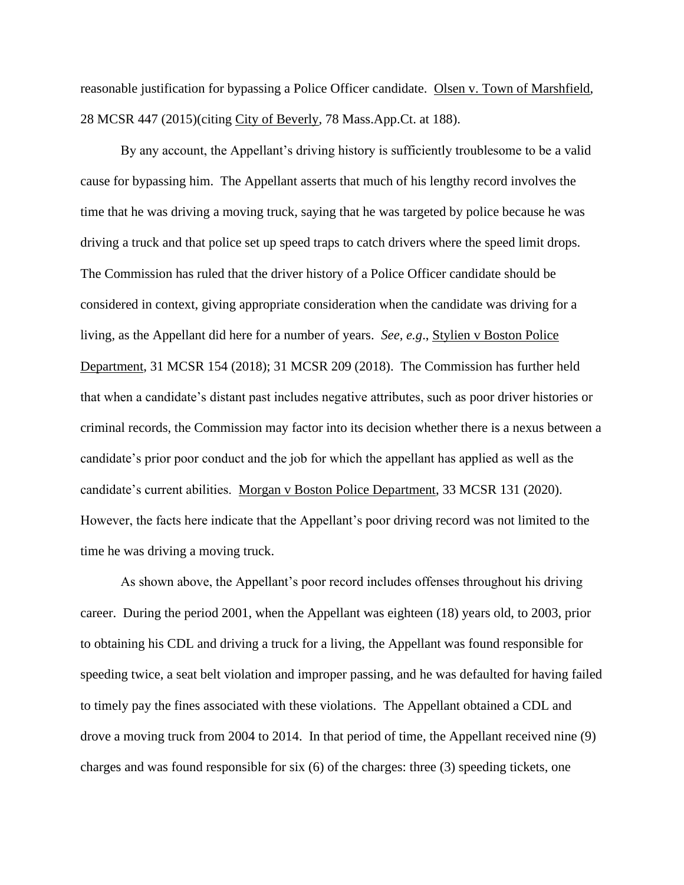reasonable justification for bypassing a Police Officer candidate. Olsen v. Town of Marshfield, 28 MCSR 447 (2015)(citing City of Beverly, 78 Mass.App.Ct. at 188).

By any account, the Appellant's driving history is sufficiently troublesome to be a valid cause for bypassing him. The Appellant asserts that much of his lengthy record involves the time that he was driving a moving truck, saying that he was targeted by police because he was driving a truck and that police set up speed traps to catch drivers where the speed limit drops. The Commission has ruled that the driver history of a Police Officer candidate should be considered in context, giving appropriate consideration when the candidate was driving for a living, as the Appellant did here for a number of years. *See, e.g*., Stylien v Boston Police Department, 31 MCSR 154 (2018); 31 MCSR 209 (2018). The Commission has further held that when a candidate's distant past includes negative attributes, such as poor driver histories or criminal records, the Commission may factor into its decision whether there is a nexus between a candidate's prior poor conduct and the job for which the appellant has applied as well as the candidate's current abilities. Morgan v Boston Police Department, 33 MCSR 131 (2020). However, the facts here indicate that the Appellant's poor driving record was not limited to the time he was driving a moving truck.

As shown above, the Appellant's poor record includes offenses throughout his driving career. During the period 2001, when the Appellant was eighteen (18) years old, to 2003, prior to obtaining his CDL and driving a truck for a living, the Appellant was found responsible for speeding twice, a seat belt violation and improper passing, and he was defaulted for having failed to timely pay the fines associated with these violations. The Appellant obtained a CDL and drove a moving truck from 2004 to 2014. In that period of time, the Appellant received nine (9) charges and was found responsible for six (6) of the charges: three (3) speeding tickets, one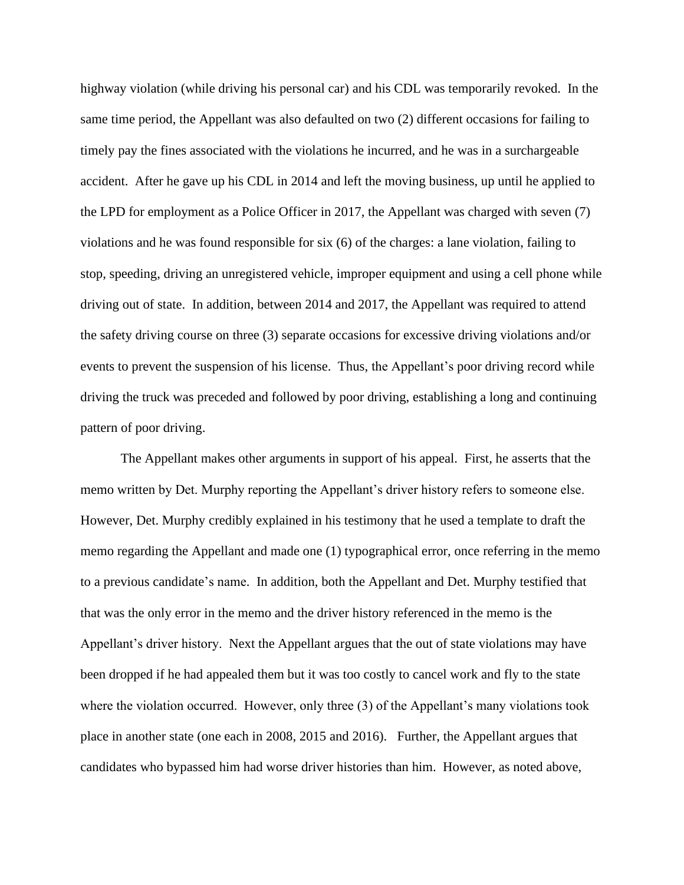highway violation (while driving his personal car) and his CDL was temporarily revoked. In the same time period, the Appellant was also defaulted on two (2) different occasions for failing to timely pay the fines associated with the violations he incurred, and he was in a surchargeable accident. After he gave up his CDL in 2014 and left the moving business, up until he applied to the LPD for employment as a Police Officer in 2017, the Appellant was charged with seven (7) violations and he was found responsible for six (6) of the charges: a lane violation, failing to stop, speeding, driving an unregistered vehicle, improper equipment and using a cell phone while driving out of state. In addition, between 2014 and 2017, the Appellant was required to attend the safety driving course on three (3) separate occasions for excessive driving violations and/or events to prevent the suspension of his license. Thus, the Appellant's poor driving record while driving the truck was preceded and followed by poor driving, establishing a long and continuing pattern of poor driving.

The Appellant makes other arguments in support of his appeal. First, he asserts that the memo written by Det. Murphy reporting the Appellant's driver history refers to someone else. However, Det. Murphy credibly explained in his testimony that he used a template to draft the memo regarding the Appellant and made one (1) typographical error, once referring in the memo to a previous candidate's name. In addition, both the Appellant and Det. Murphy testified that that was the only error in the memo and the driver history referenced in the memo is the Appellant's driver history. Next the Appellant argues that the out of state violations may have been dropped if he had appealed them but it was too costly to cancel work and fly to the state where the violation occurred. However, only three (3) of the Appellant's many violations took place in another state (one each in 2008, 2015 and 2016). Further, the Appellant argues that candidates who bypassed him had worse driver histories than him. However, as noted above,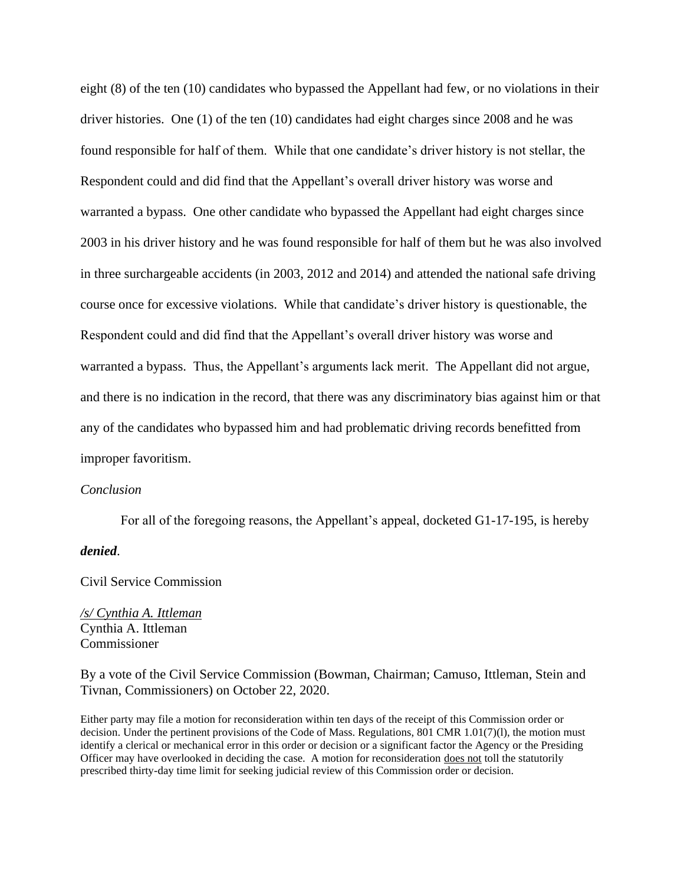eight (8) of the ten (10) candidates who bypassed the Appellant had few, or no violations in their driver histories. One (1) of the ten (10) candidates had eight charges since 2008 and he was found responsible for half of them. While that one candidate's driver history is not stellar, the Respondent could and did find that the Appellant's overall driver history was worse and warranted a bypass. One other candidate who bypassed the Appellant had eight charges since 2003 in his driver history and he was found responsible for half of them but he was also involved in three surchargeable accidents (in 2003, 2012 and 2014) and attended the national safe driving course once for excessive violations. While that candidate's driver history is questionable, the Respondent could and did find that the Appellant's overall driver history was worse and warranted a bypass. Thus, the Appellant's arguments lack merit. The Appellant did not argue, and there is no indication in the record, that there was any discriminatory bias against him or that any of the candidates who bypassed him and had problematic driving records benefitted from improper favoritism.

#### *Conclusion*

For all of the foregoing reasons, the Appellant's appeal, docketed G1-17-195, is hereby

## *denied*.

Civil Service Commission

*/s/ Cynthia A. Ittleman* Cynthia A. Ittleman Commissioner

By a vote of the Civil Service Commission (Bowman, Chairman; Camuso, Ittleman, Stein and Tivnan, Commissioners) on October 22, 2020.

Either party may file a motion for reconsideration within ten days of the receipt of this Commission order or decision. Under the pertinent provisions of the Code of Mass. Regulations, 801 CMR 1.01(7)(l), the motion must identify a clerical or mechanical error in this order or decision or a significant factor the Agency or the Presiding Officer may have overlooked in deciding the case. A motion for reconsideration does not toll the statutorily prescribed thirty-day time limit for seeking judicial review of this Commission order or decision.